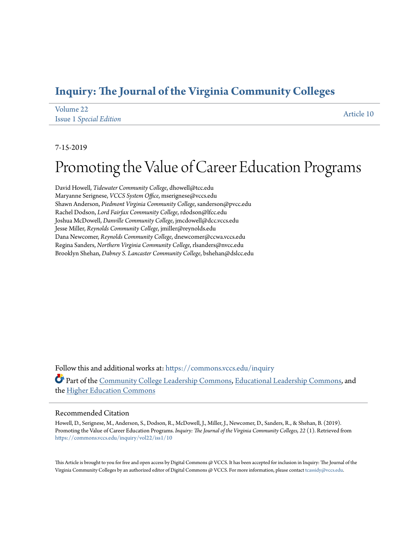## **[Inquiry: The Journal of the Virginia Community Colleges](https://commons.vccs.edu/inquiry?utm_source=commons.vccs.edu%2Finquiry%2Fvol22%2Fiss1%2F10&utm_medium=PDF&utm_campaign=PDFCoverPages)**

| Volume 22                      | Article 10 |
|--------------------------------|------------|
| <b>Issue 1 Special Edition</b> |            |

#### 7-15-2019

# Promoting the Value of Career Education Programs

David Howell, *Tidewater Community College*, dhowell@tcc.edu Maryanne Serignese, *VCCS System Office*, mserignese@vccs.edu Shawn Anderson, *Piedmont Virginia Community College*, sanderson@pvcc.edu Rachel Dodson, *Lord Fairfax Community College*, rdodson@lfcc.edu Joshua McDowell, *Danville Community College*, jmcdowell@dcc.vccs.edu Jesse Miller, *Reynolds Community College*, jmiller@reynolds.edu Dana Newcomer, *Reynolds Community College*, dnewcomer@ccwa.vccs.edu Regina Sanders, *Northern Virginia Community College*, rlsanders@nvcc.edu Brooklyn Shehan, *Dabney S. Lancaster Community College*, bshehan@dslcc.edu

Follow this and additional works at: [https://commons.vccs.edu/inquiry](https://commons.vccs.edu/inquiry?utm_source=commons.vccs.edu%2Finquiry%2Fvol22%2Fiss1%2F10&utm_medium=PDF&utm_campaign=PDFCoverPages) Part of the [Community College Leadership Commons](http://network.bepress.com/hgg/discipline/1039?utm_source=commons.vccs.edu%2Finquiry%2Fvol22%2Fiss1%2F10&utm_medium=PDF&utm_campaign=PDFCoverPages), [Educational Leadership Commons](http://network.bepress.com/hgg/discipline/1230?utm_source=commons.vccs.edu%2Finquiry%2Fvol22%2Fiss1%2F10&utm_medium=PDF&utm_campaign=PDFCoverPages), and the [Higher Education Commons](http://network.bepress.com/hgg/discipline/1245?utm_source=commons.vccs.edu%2Finquiry%2Fvol22%2Fiss1%2F10&utm_medium=PDF&utm_campaign=PDFCoverPages)

#### Recommended Citation

Howell, D., Serignese, M., Anderson, S., Dodson, R., McDowell, J., Miller, J., Newcomer, D., Sanders, R., & Shehan, B. (2019). Promoting the Value of Career Education Programs. *Inquiry: The Journal of the Virginia Community Colleges, 22* (1). Retrieved from [https://commons.vccs.edu/inquiry/vol22/iss1/10](https://commons.vccs.edu/inquiry/vol22/iss1/10?utm_source=commons.vccs.edu%2Finquiry%2Fvol22%2Fiss1%2F10&utm_medium=PDF&utm_campaign=PDFCoverPages)

This Article is brought to you for free and open access by Digital Commons @ VCCS. It has been accepted for inclusion in Inquiry: The Journal of the Virginia Community Colleges by an authorized editor of Digital Commons @ VCCS. For more information, please contact [tcassidy@vccs.edu.](mailto:tcassidy@vccs.edu)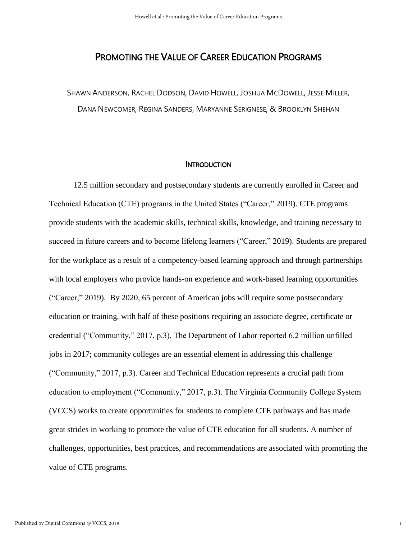### PROMOTING THE VALUE OF CAREER EDUCATION PROGRAMS

SHAWN ANDERSON, RACHEL DODSON, DAVID HOWELL, JOSHUA MCDOWELL, JESSE MILLER, DANA NEWCOMER, REGINA SANDERS, MARYANNE SERIGNESE, & BROOKLYN SHEHAN

#### **INTRODUCTION**

12.5 million secondary and postsecondary students are currently enrolled in Career and Technical Education (CTE) programs in the United States ("Career," 2019). CTE programs provide students with the academic skills, technical skills, knowledge, and training necessary to succeed in future careers and to become lifelong learners ("Career," 2019). Students are prepared for the workplace as a result of a competency-based learning approach and through partnerships with local employers who provide hands-on experience and work-based learning opportunities ("Career," 2019). By 2020, 65 percent of American jobs will require some postsecondary education or training, with half of these positions requiring an associate degree, certificate or credential ("Community," 2017, p.3). The Department of Labor reported 6.2 million unfilled jobs in 2017; community colleges are an essential element in addressing this challenge ("Community," 2017, p.3). Career and Technical Education represents a crucial path from education to employment ("Community," 2017, p.3). The Virginia Community College System (VCCS) works to create opportunities for students to complete CTE pathways and has made great strides in working to promote the value of CTE education for all students. A number of challenges, opportunities, best practices, and recommendations are associated with promoting the value of CTE programs.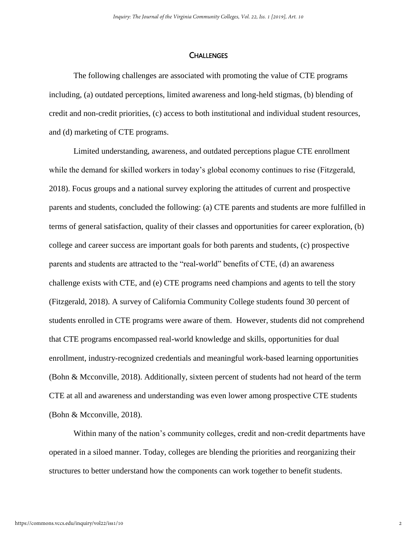#### **CHALLENGES**

The following challenges are associated with promoting the value of CTE programs including, (a) outdated perceptions, limited awareness and long-held stigmas, (b) blending of credit and non-credit priorities, (c) access to both institutional and individual student resources, and (d) marketing of CTE programs.

Limited understanding, awareness, and outdated perceptions plague CTE enrollment while the demand for skilled workers in today's global economy continues to rise (Fitzgerald, 2018). Focus groups and a national survey exploring the attitudes of current and prospective parents and students, concluded the following: (a) CTE parents and students are more fulfilled in terms of general satisfaction, quality of their classes and opportunities for career exploration, (b) college and career success are important goals for both parents and students, (c) prospective parents and students are attracted to the "real-world" benefits of CTE, (d) an awareness challenge exists with CTE, and (e) CTE programs need champions and agents to tell the story (Fitzgerald, 2018). A survey of California Community College students found 30 percent of students enrolled in CTE programs were aware of them. However, students did not comprehend that CTE programs encompassed real-world knowledge and skills, opportunities for dual enrollment, industry-recognized credentials and meaningful work-based learning opportunities (Bohn & Mcconville, 2018). Additionally, sixteen percent of students had not heard of the term CTE at all and awareness and understanding was even lower among prospective CTE students (Bohn & Mcconville, 2018).

Within many of the nation's community colleges, credit and non-credit departments have operated in a siloed manner. Today, colleges are blending the priorities and reorganizing their structures to better understand how the components can work together to benefit students.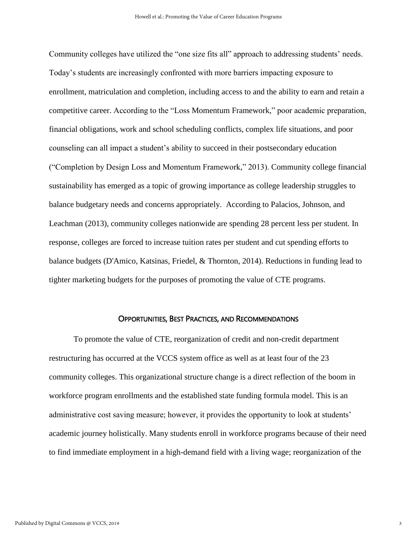Community colleges have utilized the "one size fits all" approach to addressing students' needs. Today's students are increasingly confronted with more barriers impacting exposure to enrollment, matriculation and completion, including access to and the ability to earn and retain a competitive career. According to the "Loss Momentum Framework," poor academic preparation, financial obligations, work and school scheduling conflicts, complex life situations, and poor counseling can all impact a student's ability to succeed in their postsecondary education ("Completion by Design Loss and Momentum Framework," 2013). Community college financial sustainability has emerged as a topic of growing importance as college leadership struggles to balance budgetary needs and concerns appropriately. According to Palacios, Johnson, and Leachman (2013), community colleges nationwide are spending 28 percent less per student. In response, colleges are forced to increase tuition rates per student and cut spending efforts to balance budgets (D'Amico, Katsinas, Friedel, & Thornton, 2014). Reductions in funding lead to tighter marketing budgets for the purposes of promoting the value of CTE programs.

#### OPPORTUNITIES, BEST PRACTICES, AND RECOMMENDATIONS

To promote the value of CTE, reorganization of credit and non-credit department restructuring has occurred at the VCCS system office as well as at least four of the 23 community colleges. This organizational structure change is a direct reflection of the boom in workforce program enrollments and the established state funding formula model. This is an administrative cost saving measure; however, it provides the opportunity to look at students' academic journey holistically. Many students enroll in workforce programs because of their need to find immediate employment in a high-demand field with a living wage; reorganization of the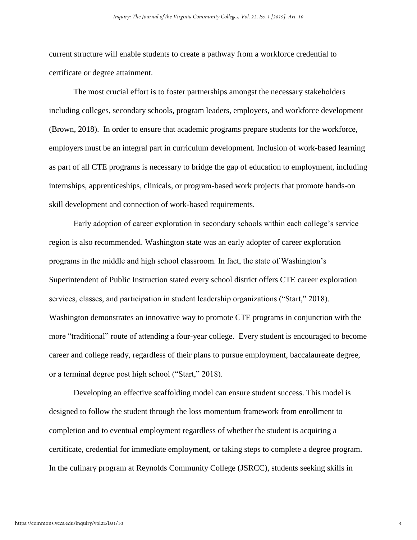current structure will enable students to create a pathway from a workforce credential to certificate or degree attainment.

The most crucial effort is to foster partnerships amongst the necessary stakeholders including colleges, secondary schools, program leaders, employers, and workforce development (Brown, 2018). In order to ensure that academic programs prepare students for the workforce, employers must be an integral part in curriculum development. Inclusion of work-based learning as part of all CTE programs is necessary to bridge the gap of education to employment, including internships, apprenticeships, clinicals, or program-based work projects that promote hands-on skill development and connection of work-based requirements.

Early adoption of career exploration in secondary schools within each college's service region is also recommended. Washington state was an early adopter of career exploration programs in the middle and high school classroom. In fact, the state of Washington's Superintendent of Public Instruction stated every school district offers CTE career exploration services, classes, and participation in student leadership organizations ("Start," 2018). Washington demonstrates an innovative way to promote CTE programs in conjunction with the more "traditional" route of attending a four-year college. Every student is encouraged to become career and college ready, regardless of their plans to pursue employment, baccalaureate degree, or a terminal degree post high school ("Start," 2018).

Developing an effective scaffolding model can ensure student success. This model is designed to follow the student through the loss momentum framework from enrollment to completion and to eventual employment regardless of whether the student is acquiring a certificate, credential for immediate employment, or taking steps to complete a degree program. In the culinary program at Reynolds Community College (JSRCC), students seeking skills in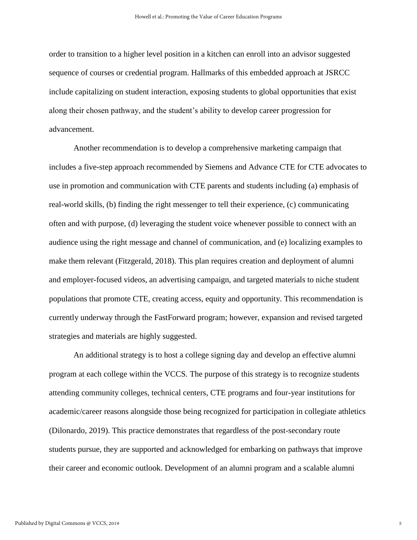order to transition to a higher level position in a kitchen can enroll into an advisor suggested sequence of courses or credential program. Hallmarks of this embedded approach at JSRCC include capitalizing on student interaction, exposing students to global opportunities that exist along their chosen pathway, and the student's ability to develop career progression for advancement.

Another recommendation is to develop a comprehensive marketing campaign that includes a five-step approach recommended by Siemens and Advance CTE for CTE advocates to use in promotion and communication with CTE parents and students including (a) emphasis of real-world skills, (b) finding the right messenger to tell their experience, (c) communicating often and with purpose, (d) leveraging the student voice whenever possible to connect with an audience using the right message and channel of communication, and (e) localizing examples to make them relevant (Fitzgerald, 2018). This plan requires creation and deployment of alumni and employer-focused videos, an advertising campaign, and targeted materials to niche student populations that promote CTE, creating access, equity and opportunity. This recommendation is currently underway through the FastForward program; however, expansion and revised targeted strategies and materials are highly suggested.

An additional strategy is to host a college signing day and develop an effective alumni program at each college within the VCCS. The purpose of this strategy is to recognize students attending community colleges, technical centers, CTE programs and four-year institutions for academic/career reasons alongside those being recognized for participation in collegiate athletics (Dilonardo, 2019). This practice demonstrates that regardless of the post-secondary route students pursue, they are supported and acknowledged for embarking on pathways that improve their career and economic outlook. Development of an alumni program and a scalable alumni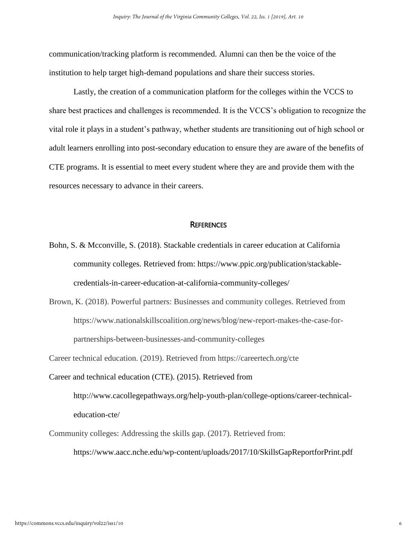communication/tracking platform is recommended. Alumni can then be the voice of the institution to help target high-demand populations and share their success stories.

Lastly, the creation of a communication platform for the colleges within the VCCS to share best practices and challenges is recommended. It is the VCCS's obligation to recognize the vital role it plays in a student's pathway, whether students are transitioning out of high school or adult learners enrolling into post-secondary education to ensure they are aware of the benefits of CTE programs. It is essential to meet every student where they are and provide them with the resources necessary to advance in their careers.

#### **REFERENCES**

- Bohn, S. & Mcconville, S. (2018). Stackable credentials in career education at California community colleges. Retrieved from: https://www.ppic.org/publication/stackablecredentials-in-career-education-at-california-community-colleges/
- Brown, K. (2018). Powerful partners: Businesses and community colleges. Retrieved from https://www.nationalskillscoalition.org/news/blog/new-report-makes-the-case-forpartnerships-between-businesses-and-community-colleges

Career technical education. (2019). Retrieved from https://careertech.org/cte

- Career and technical education (CTE). (2015). Retrieved from http://www.cacollegepathways.org/help-youth-plan/college-options/career-technicaleducation-cte/
- Community colleges: Addressing the skills gap. (2017). Retrieved from: https://www.aacc.nche.edu/wp-content/uploads/2017/10/SkillsGapReportforPrint.pdf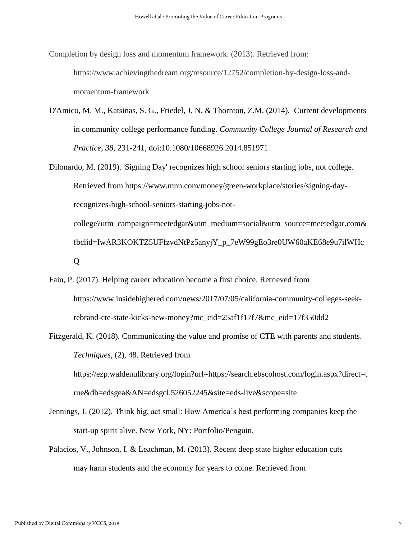Completion by design loss and momentum framework. (2013). Retrieved from: https://www.achievingthedream.org/resource/12752/completion-by-design-loss-andmomentum-framework

- D'Amico, M. M., Katsinas, S. G., Friedel, J. N. & Thornton, Z.M. (2014). Current developments in community college performance funding. *Community College Journal of Research and Practice*, *38*, 231-241, doi:10.1080/10668926.2014.851971
- Dilonardo, M. (2019). 'Signing Day' recognizes high school seniors starting jobs, not college. Retrieved from https://www.mnn.com/money/green-workplace/stories/signing-dayrecognizes-high-school-seniors-starting-jobs-notcollege?utm\_campaign=meetedgar&utm\_medium=social&utm\_source=meetedgar.com& fbclid=IwAR3KOKTZ5UFfzvdNtPz5anyjY\_p\_7eW99gEo3re0UW60aKE68e9u7ilWHc Q
- Fain, P. (2017). Helping career education become a first choice. Retrieved from https://www.insidehighered.com/news/2017/07/05/california-community-colleges-seekrebrand-cte-state-kicks-new-money?mc\_cid=25af1f17f7&mc\_eid=17f350dd2
- Fitzgerald, K. (2018). Communicating the value and promise of CTE with parents and students. *Techniques*, (2), 48. Retrieved from

https://ezp.waldenulibrary.org/login?url=https://search.ebscohost.com/login.aspx?direct=t rue&db=edsgea&AN=edsgcl.526052245&site=eds-live&scope=site

- Jennings, J. (2012). Think big, act small: How America's best performing companies keep the start-up spirit alive. New York, NY: Portfolio/Penguin.
- Palacios, V., Johnson, I. & Leachman, M. (2013). Recent deep state higher education cuts may harm students and the economy for years to come. Retrieved from